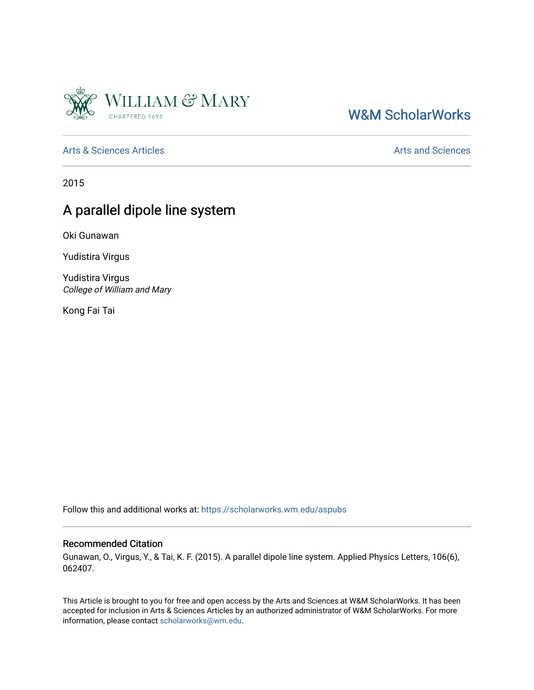

## [W&M ScholarWorks](https://scholarworks.wm.edu/)

[Arts & Sciences Articles](https://scholarworks.wm.edu/aspubs) **Articles** [Arts and Sciences](https://scholarworks.wm.edu/as) Articles Arts and Sciences Arts and Sciences

2015

## A parallel dipole line system

Oki Gunawan

Yudistira Virgus

Yudistira Virgus College of William and Mary

Kong Fai Tai

Follow this and additional works at: [https://scholarworks.wm.edu/aspubs](https://scholarworks.wm.edu/aspubs?utm_source=scholarworks.wm.edu%2Faspubs%2F1014&utm_medium=PDF&utm_campaign=PDFCoverPages) 

## Recommended Citation

Gunawan, O., Virgus, Y., & Tai, K. F. (2015). A parallel dipole line system. Applied Physics Letters, 106(6), 062407.

This Article is brought to you for free and open access by the Arts and Sciences at W&M ScholarWorks. It has been accepted for inclusion in Arts & Sciences Articles by an authorized administrator of W&M ScholarWorks. For more information, please contact [scholarworks@wm.edu](mailto:scholarworks@wm.edu).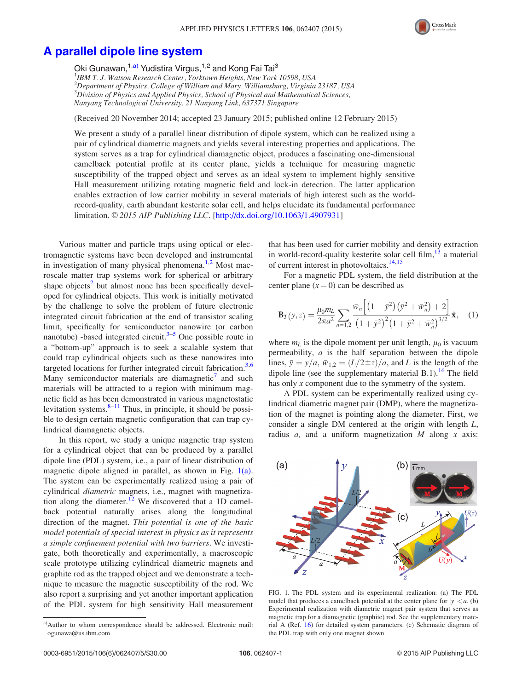

## <span id="page-1-0"></span>[A parallel dipole line system](http://dx.doi.org/10.1063/1.4907931)

Oki Gunawan,<sup>1,a)</sup> Yudistira Virgus,<sup>1,2</sup> and Kong Fai Tai<sup>3</sup> <sup>1</sup>IBM T. J. Watson Research Center, Yorktown Heights, New York 10598, USA 2 Department of Physics, College of William and Mary, Williamsburg, Virginia 23187, USA  ${}^{3}$ Division of Physics and Applied Physics, School of Physical and Mathematical Sciences, Nanyang Technological University, 21 Nanyang Link, 637371 Singapore

(Received 20 November 2014; accepted 23 January 2015; published online 12 February 2015)

We present a study of a parallel linear distribution of dipole system, which can be realized using a pair of cylindrical diametric magnets and yields several interesting properties and applications. The system serves as a trap for cylindrical diamagnetic object, produces a fascinating one-dimensional camelback potential profile at its center plane, yields a technique for measuring magnetic susceptibility of the trapped object and serves as an ideal system to implement highly sensitive Hall measurement utilizing rotating magnetic field and lock-in detection. The latter application enables extraction of low carrier mobility in several materials of high interest such as the worldrecord-quality, earth abundant kesterite solar cell, and helps elucidate its fundamental performance limitation. © 2015 AIP Publishing LLC. [\[http://dx.doi.org/10.1063/1.4907931](http://dx.doi.org/10.1063/1.4907931)]

Various matter and particle traps using optical or electromagnetic systems have been developed and instrumental in investigation of many physical phenomena.<sup>[1](#page-5-0),[2](#page-5-0)</sup> Most macroscale matter trap systems work for spherical or arbitrary shape objects<sup>[2](#page-5-0)</sup> but almost none has been specifically developed for cylindrical objects. This work is initially motivated by the challenge to solve the problem of future electronic integrated circuit fabrication at the end of transistor scaling limit, specifically for semiconductor nanowire (or carbon nanotube) -based integrated circuit.<sup>[3–5](#page-5-0)</sup> One possible route in a "bottom-up" approach is to seek a scalable system that could trap cylindrical objects such as these nanowires into targeted locations for further integrated circuit fabrication.<sup>[3,6](#page-5-0)</sup> Many semiconductor materials are diamagnetic<sup>[7](#page-5-0)</sup> and such materials will be attracted to a region with minimum magnetic field as has been demonstrated in various magnetostatic levitation systems. $8-11$  $8-11$  $8-11$  Thus, in principle, it should be possible to design certain magnetic configuration that can trap cylindrical diamagnetic objects.

In this report, we study a unique magnetic trap system for a cylindrical object that can be produced by a parallel dipole line (PDL) system, i.e., a pair of linear distribution of magnetic dipole aligned in parallel, as shown in Fig.  $1(a)$ . The system can be experimentally realized using a pair of cylindrical diametric magnets, i.e., magnet with magnetiza-tion along the diameter.<sup>[12](#page-5-0)</sup> We discovered that a 1D camelback potential naturally arises along the longitudinal direction of the magnet. This potential is one of the basic model potentials of special interest in physics as it represents a simple confinement potential with two barriers. We investigate, both theoretically and experimentally, a macroscopic scale prototype utilizing cylindrical diametric magnets and graphite rod as the trapped object and we demonstrate a technique to measure the magnetic susceptibility of the rod. We also report a surprising and yet another important application of the PDL system for high sensitivity Hall measurement that has been used for carrier mobility and density extraction in world-record-quality kesterite solar cell film, $13$  a material of current interest in photovoltaics.<sup>[14,15](#page-5-0)</sup>

For a magnetic PDL system, the field distribution at the center plane  $(x = 0)$  can be described as

$$
\mathbf{B}_{T}(y,z) = \frac{\mu_0 m_L}{2\pi a^2} \sum_{n=1,2} \frac{\bar{w}_n \left[ \left( 1 - \bar{y}^2 \right) \left( \bar{y}^2 + \bar{w}_n^2 \right) + 2 \right]}{\left( 1 + \bar{y}^2 \right)^2 \left( 1 + \bar{y}^2 + \bar{w}_n^2 \right)^{3/2}} \hat{\mathbf{x}}, \quad (1)
$$

where  $m_l$  is the dipole moment per unit length,  $\mu_0$  is vacuum permeability,  $a$  is the half separation between the dipole lines,  $\bar{y} = y/a$ ,  $\bar{w}_{1,2} = (L/2 \pm z)/a$ , and L is the length of the dipole line (see the supplementary material B.1).<sup>[16](#page-5-0)</sup> The field has only  $x$  component due to the symmetry of the system.

A PDL system can be experimentally realized using cylindrical diametric magnet pair (DMP), where the magnetization of the magnet is pointing along the diameter. First, we consider a single DM centered at the origin with length L, radius a, and a uniform magnetization M along x axis:



FIG. 1. The PDL system and its experimental realization: (a) The PDL model that produces a camelback potential at the center plane for  $|y| < a$ . (b) Experimental realization with diametric magnet pair system that serves as magnetic trap for a diamagnetic (graphite) rod. See the supplementary material A (Ref. [16\)](#page-5-0) for detailed system parameters. (c) Schematic diagram of the PDL trap with only one magnet shown.

a)Author to whom correspondence should be addressed. Electronic mail: [ogunawa@us.ibm.com](mailto:ogunawa@us.ibm.com)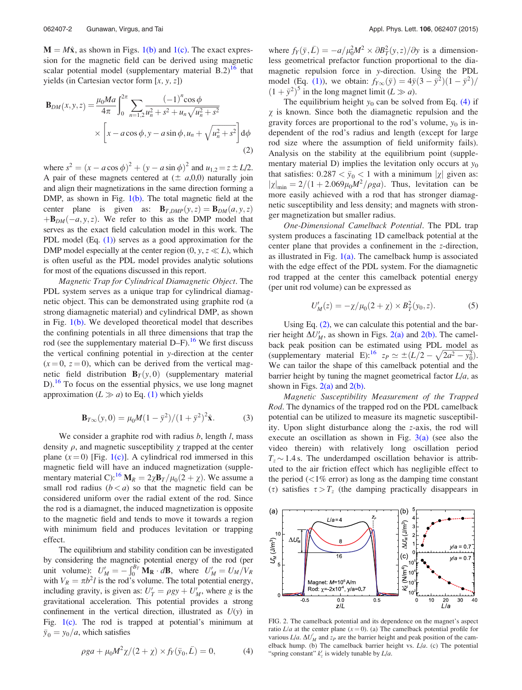<span id="page-2-0"></span> $M = M\hat{x}$ , as shown in Figs. [1\(b\)](#page-1-0) and [1\(c\).](#page-1-0) The exact expression for the magnetic field can be derived using magnetic scalar potential model (supplementary material  $B.2$ )<sup>[16](#page-5-0)</sup> that yields (in Cartesian vector form  $[x, y, z]$ )

$$
\mathbf{B}_{DM}(x, y, z) = \frac{\mu_0 Ma}{4\pi} \int_0^{2\pi} \sum_{n=1,2} \frac{(-1)^n \cos \phi}{u_n^2 + s^2 + u_n \sqrt{u_n^2 + s^2}} \times \left[ x - a \cos \phi, y - a \sin \phi, u_n + \sqrt{u_n^2 + s^2} \right] d\phi
$$
\n(2)

where  $s^2 = (x - a \cos \phi)^2 + (y - a \sin \phi)^2$  and  $u_{1,2} = z \pm L/2$ . A pair of these magnets centered at  $(\pm a,0,0)$  naturally join and align their magnetizations in the same direction forming a DMP, as shown in Fig. [1\(b\).](#page-1-0) The total magnetic field at the center plane is given as:  $\mathbf{B}_{T, DMP}(y, z) = \mathbf{B}_{DM}(a, y, z)$  $+{\bf B}_{DM}(-a,y,z)$ . We refer to this as the DMP model that serves as the exact field calculation model in this work. The PDL model (Eq.  $(1)$ ) serves as a good approximation for the DMP model especially at the center region  $(0, y, z \ll L)$ , which is often useful as the PDL model provides analytic solutions for most of the equations discussed in this report.

Magnetic Trap for Cylindrical Diamagnetic Object. The PDL system serves as a unique trap for cylindrical diamagnetic object. This can be demonstrated using graphite rod (a strong diamagnetic material) and cylindrical DMP, as shown in Fig.  $1(b)$ . We developed theoretical model that describes the confining potentials in all three dimensions that trap the rod (see the supplementary material  $D-F$ ).<sup>[16](#page-5-0)</sup> We first discuss the vertical confining potential in y-direction at the center  $(x = 0, z = 0)$ , which can be derived from the vertical magnetic field distribution  $\mathbf{B}_T(y,0)$  (supplementary material D).<sup>16</sup> To focus on the essential physics, we use long magnet approximation  $(L \gg a)$  to Eq. [\(1\)](#page-1-0) which yields

$$
\mathbf{B}_{T\infty}(y,0) = \mu_0 M (1 - \bar{y}^2) / (1 + \bar{y}^2)^2 \hat{\mathbf{x}}.
$$
 (3)

We consider a graphite rod with radius  $b$ , length  $l$ , mass density  $\rho$ , and magnetic susceptibility  $\gamma$  trapped at the center plane  $(x = 0)$  [Fig. [1\(c\)](#page-1-0)]. A cylindrical rod immersed in this magnetic field will have an induced magnetization (supple-mentary material C):<sup>[16](#page-5-0)</sup>  $\mathbf{M}_R = 2\chi \mathbf{B}_T/\mu_0(2 + \chi)$ . We assume a small rod radius  $(b < a)$  so that the magnetic field can be considered uniform over the radial extent of the rod. Since the rod is a diamagnet, the induced magnetization is opposite to the magnetic field and tends to move it towards a region with minimum field and produces levitation or trapping effect.

The equilibrium and stability condition can be investigated by considering the magnetic potential energy of the rod (per unit volume):  $U'_M = -\int_0^{B_T} \mathbf{M}_R \cdot d\mathbf{B}$ , where  $U'_M = U_M/V_R$ with  $V_R = \pi b^2 l$  is the rod's volume. The total potential energy, including gravity, is given as:  $U'_T = \rho g y + U'_M$ , where g is the gravitational acceleration. This potential provides a strong confinement in the vertical direction, illustrated as  $U(y)$  in Fig.  $1(c)$ . The rod is trapped at potential's minimum at  $\bar{y}_0 = y_0/a$ , which satisfies

where  $f_Y(\bar{y}, \bar{L}) = -a/\mu_0^2 M^2 \times \partial B_T^2(y, z)/\partial y$  is a dimensionless geometrical prefactor function proportional to the diamagnetic repulsion force in y-direction. Using the PDL model (Eq. [\(1\)](#page-1-0)), we obtain:  $f_{Y\infty}(\bar{y}) = 4\bar{y}(3 - \bar{y}^2)(1 - \bar{y}^2)/$  $(1 + \bar{y}^2)^5$  in the long magnet limit  $(L \gg a)$ .

The equilibrium height  $y_0$  can be solved from Eq. (4) if  $\gamma$  is known. Since both the diamagnetic repulsion and the gravity forces are proportional to the rod's volume,  $y_0$  is independent of the rod's radius and length (except for large rod size where the assumption of field uniformity fails). Analysis on the stability at the equilibrium point (supplementary material D) implies the levitation only occurs at  $y_0$ that satisfies:  $0.287 < \bar{y}_0 < 1$  with a minimum  $|\chi|$  given as:  $|\chi|_{\text{min}} = 2/(1 + 2.069\mu_0 M^2/\rho g a)$ . Thus, levitation can be more easily achieved with a rod that has stronger diamagnetic susceptibility and less density; and magnets with stronger magnetization but smaller radius.

One-Dimensional Camelback Potential. The PDL trap system produces a fascinating 1D camelback potential at the center plane that provides a confinement in the z-direction, as illustrated in Fig.  $1(a)$ . The camelback hump is associated with the edge effect of the PDL system. For the diamagnetic rod trapped at the center this camelback potential energy (per unit rod volume) can be expressed as

$$
U'_{M}(z) = -\chi/\mu_0(2+\chi) \times B_T^2(y_0, z). \tag{5}
$$

Using Eq. (2), we can calculate this potential and the barrier height  $\Delta U_M'$ , as shown in Figs. 2(a) and 2(b). The camelback peak position can be estimated using PDL model as (supplementary material E):<sup>16</sup>  $z_P \simeq \pm (L/2 - \sqrt{2a^2 - y_0^2})$ . We can tailor the shape of this camelback potential and the barrier height by tuning the magnet geometrical factor  $L/a$ , as shown in Figs.  $2(a)$  and  $2(b)$ .

Magnetic Susceptibility Measurement of the Trapped Rod. The dynamics of the trapped rod on the PDL camelback potential can be utilized to measure its magnetic susceptibility. Upon slight disturbance along the z-axis, the rod will execute an oscillation as shown in Fig.  $3(a)$  (see also the video therein) with relatively long oscillation period  $T<sub>z</sub>$   $\sim$  1.4 s. The underdamped oscillation behavior is attributed to the air friction effect which has negligible effect to the period  $\left($  <1% error) as long as the damping time constant ( $\tau$ ) satisfies  $\tau > T_z$  (the damping practically disappears in



FIG. 2. The camelback potential and its dependence on the magnet's aspect ratio  $L/a$  at the center plane  $(x=0)$ . (a) The camelback potential profile for various  $L/a$ .  $\Delta U_M'$  and  $z_P$  are the barrier height and peak position of the camelback hump. (b) The camelback barrier height vs.  $L/a$ . (c) The potential "spring constant"  $k'_z$  is widely tunable by  $L/a$ .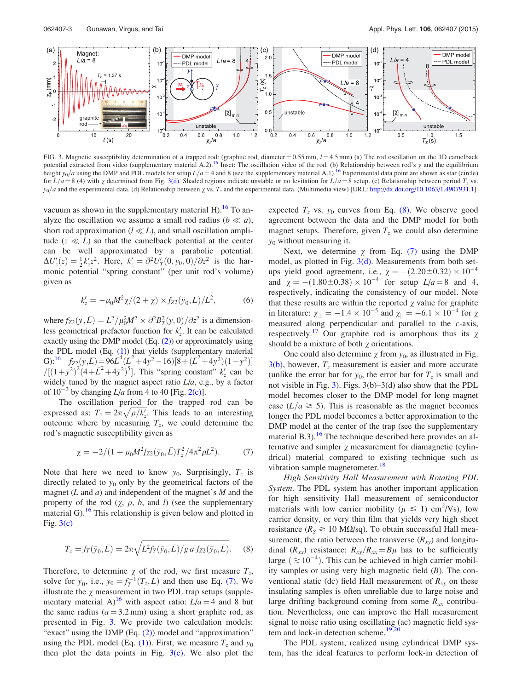<span id="page-3-0"></span>

FIG. 3. Magnetic susceptibility determination of a trapped rod: (graphite rod, diameter =  $0.55$  mm,  $l = 4.5$  mm) (a) The rod oscillation on the 1D camelback potential extracted from video (supplementary material A.2).<sup>[16](#page-5-0)</sup> Inset: The oscillation video of the rod. (b) Relationship between rod's  $\chi$  and the equilibrium height  $y_0/a$  using the DMP and PDL models for setup  $L/a = 4$  and 8 (see the supplementary material A.1).<sup>[16](#page-5-0)</sup> Experimental data point are shown as star (circle) for  $L/a=8$  (4) with  $\chi$  determined from Fig. 3(d). Shaded regions indicate unstable or no levitation for  $L/a=8$  setup. (c) Relationship between period  $T_z$  vs.  $y_0/a$  and the experimental data. (d) Relationship between  $\chi$  vs.  $T_z$  and the experimental data. (Multimedia view) [URL: <http://dx.doi.org/10.1063/1.4907931.1>]

vacuum as shown in the supplementary material H).<sup>[16](#page-5-0)</sup> To analyze the oscillation we assume a small rod radius ( $b \ll a$ ), short rod approximation ( $l \ll L$ ), and small oscillation amplitude  $(z \ll L)$  so that the camelback potential at the center can be well approximated by a parabolic potential:  $\Delta U_z'(z) = \frac{1}{2} k_z' z^2$ . Here,  $k_z' = \frac{\partial^2 U_T'(0, y_0, 0)}{\partial z^2}$  is the harmonic potential "spring constant" (per unit rod's volume) given as

$$
k'_z = -\mu_0 M^2 \chi / (2 + \chi) \times f_{Z2}(\bar{y}_0, \bar{L}) / L^2, \tag{6}
$$

where  $f_{Z2}(\bar{y}, \bar{L}) = L^2 / \mu_0^2 M^2 \times \partial^2 B_T^2(y, 0) / \partial z^2$  is a dimensionless geometrical prefactor function for  $k'_z$ . It can be calculated exactly using the DMP model (Eq. [\(2\)\)](#page-2-0) or approximately using the PDL model (Eq. [\(1\)\)](#page-1-0) that yields (supplementary material G):<sup>16</sup>  $f_{Z2}(\bar{y}, \bar{L}) = 96\bar{L}^4(\bar{L}^2 + 4\bar{y}^2 - 16)[8 + (\bar{L}^2 + 4\bar{y}^2)(1 - \bar{y}^2)]$  $/[(1+\bar{y}^2)^2(4+\bar{L}^2+4\bar{y}^2)^5]$ . This "spring constant"  $k'_z$  can be widely tuned by the magnet aspect ratio  $L/a$ , e.g., by a factor of  $10^{-3}$  by changing  $L/a$  from 4 to 40 [Fig. [2\(c\)](#page-2-0)].

The oscillation period for the trapped rod can be expressed as:  $T_z = 2\pi \sqrt{\rho/k'_z}$ . This leads to an interesting outcome where by measuring  $T_z$ , we could determine the rod's magnetic susceptibility given as

$$
\chi = -2/(1 + \mu_0 M^2 f_{Z2}(\bar{y}_0, \bar{L}) T_z^2 / 4\pi^2 \rho L^2). \tag{7}
$$

Note that here we need to know  $y_0$ . Surprisingly,  $T_z$  is directly related to  $y_0$  only by the geometrical factors of the magnet  $(L \text{ and } a)$  and independent of the magnet's  $M$  and the property of the rod  $(\chi, \rho, b, \text{ and } l)$  (see the supplementary material G).<sup>[16](#page-5-0)</sup> This relationship is given below and plotted in Fig.  $3(c)$ 

$$
T_z = f_T(\bar{y}_0, \bar{L}) = 2\pi \sqrt{L^2 f_Y(\bar{y}_0, \bar{L})/g \, a \, f_{Z2}(\bar{y}_0, \bar{L})}.
$$
 (8)

Therefore, to determine  $\chi$  of the rod, we first measure  $T_z$ , solve for  $\bar{y}_0$ , i.e.,  $y_0 = f_T^{-1}(T_z, \bar{L})$  and then use Eq. (7). We illustrate the  $\chi$  measurement in two PDL trap setups (supple-mentary material A)<sup>[16](#page-5-0)</sup> with aspect ratio:  $L/a = 4$  and 8 but the same radius ( $a = 3.2$  mm) using a short graphite rod, as presented in Fig. 3. We provide two calculation models: "exact" using the DMP (Eq. [\(2\)\)](#page-2-0) model and "approximation" using the PDL model (Eq. [\(1\)](#page-1-0)). First, we measure  $T_z$  and  $y_0$ then plot the data points in Fig.  $3(c)$ . We also plot the expected  $T_z$  vs.  $y_0$  curves from Eq. (8). We observe good agreement between the data and the DMP model for both magnet setups. Therefore, given  $T_z$  we could also determine  $y_0$  without measuring it.

Next, we determine  $\chi$  from Eq. (7) using the DMP model, as plotted in Fig. 3(d). Measurements from both setups yield good agreement, i.e.,  $\chi = -(2.20 \pm 0.32) \times 10^{-4}$ and  $\chi = -(1.80 \pm 0.38) \times 10^{-4}$  for setup  $L/a = 8$  and 4, respectively, indicating the consistency of our model. Note that these results are within the reported  $\chi$  value for graphite in literature:  $\chi_{\perp} = -1.4 \times 10^{-5}$  and  $\chi_{\parallel} = -6.1 \times 10^{-4}$  for  $\chi$ measured along perpendicular and parallel to the  $c$ -axis, respectively.<sup>[17](#page-5-0)</sup> Our graphite rod is amorphous thus its  $\chi$ should be a mixture of both  $\chi$  orientations.

One could also determine  $\chi$  from  $y_0$ , as illustrated in Fig.  $3(b)$ , however,  $T_z$  measurement is easier and more accurate (unlike the error bar for  $y_0$ , the error bar for  $T_z$  is small and not visible in Fig. 3). Figs. 3(b)–3(d) also show that the PDL model becomes closer to the DMP model for long magnet case ( $L/a \ge 5$ ). This is reasonable as the magnet becomes longer the PDL model becomes a better approximation to the DMP model at the center of the trap (see the supplementary material B.3).<sup>[16](#page-5-0)</sup> The technique described here provides an alternative and simpler  $\chi$  measurement for diamagnetic (cylindrical) material compared to existing technique such as vibration sample magnetometer.<sup>[18](#page-5-0)</sup>

High Sensitivity Hall Measurement with Rotating PDL System. The PDL system has another important application for high sensitivity Hall measurement of semiconductor materials with low carrier mobility ( $\mu \le 1$ ) cm<sup>2</sup>/Vs), low carrier density, or very thin film that yields very high sheet resistance ( $R_s \ge 10$  M $\Omega$ /sq). To obtain successful Hall measurement, the ratio between the transverse  $(R_{xy})$  and longitudinal  $(R_{xx})$  resistance:  $R_{xy}/R_{xx} = B\mu$  has to be sufficiently large  $(\geq 10^{-4})$ . This can be achieved in high carrier mobility samples or using very high magnetic field  $(B)$ . The conventional static (dc) field Hall measurement of  $R_{xy}$  on these insulating samples is often unreliable due to large noise and large drifting background coming from some  $R_{xx}$  contribution. Nevertheless, one can improve the Hall measurement signal to noise ratio using oscillating (ac) magnetic field system and lock-in detection scheme. $19,20$  $19,20$  $19,20$ 

The PDL system, realized using cylindrical DMP system, has the ideal features to perform lock-in detection of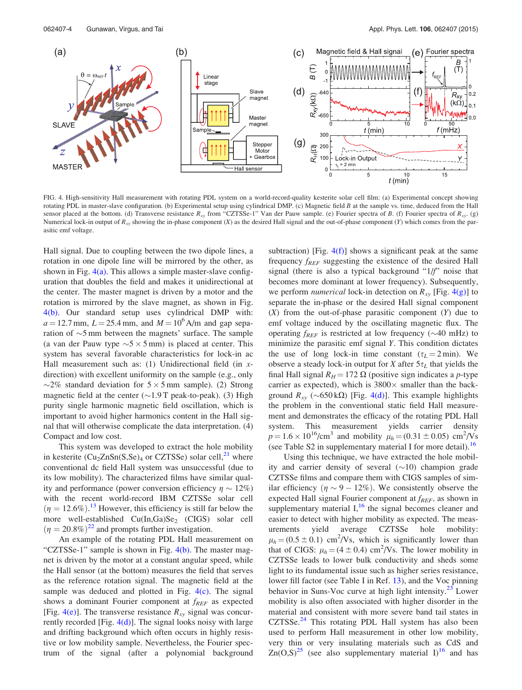

FIG. 4. High-sensitivity Hall measurement with rotating PDL system on a world-record-quality kesterite solar cell film: (a) Experimental concept showing rotating PDL in master-slave configuration. (b) Experimental setup using cylindrical DMP. (c) Magnetic field  $B$  at the sample vs. time, deduced from the Hall sensor placed at the bottom. (d) Transverse resistance  $R_{xy}$  from "CZTSSe-1" Van der Pauw sample. (e) Fourier spectra of B. (f) Fourier spectra of  $R_{xy}$ . (g) Numerical lock-in output of  $R_{xy}$  showing the in-phase component (X) as the desired Hall signal and the out-of-phase component (Y) which comes from the parasitic emf voltage.

Hall signal. Due to coupling between the two dipole lines, a rotation in one dipole line will be mirrored by the other, as shown in Fig.  $4(a)$ . This allows a simple master-slave configuration that doubles the field and makes it unidirectional at the center. The master magnet is driven by a motor and the rotation is mirrored by the slave magnet, as shown in Fig. 4(b). Our standard setup uses cylindrical DMP with:  $a = 12.7$  mm,  $L = 25.4$  mm, and  $M = 10^6$  A/m and gap separation of  $\sim$ 5 mm between the magnets' surface. The sample (a van der Pauw type  $\sim$  5  $\times$  5 mm) is placed at center. This system has several favorable characteristics for lock-in ac Hall measurement such as: (1) Unidirectional field (in  $x$ direction) with excellent uniformity on the sample (e.g., only  $\sim$ 2% standard deviation for  $5 \times 5$  mm sample). (2) Strong magnetic field at the center  $(\sim 1.9$  T peak-to-peak). (3) High purity single harmonic magnetic field oscillation, which is important to avoid higher harmonics content in the Hall signal that will otherwise complicate the data interpretation. (4) Compact and low cost.

This system was developed to extract the hole mobility in kesterite  $(Cu_2ZnSn(S,Se)_4$  or CZTSSe) solar cell,<sup>[21](#page-5-0)</sup> where conventional dc field Hall system was unsuccessful (due to its low mobility). The characterized films have similar quality and performance (power conversion efficiency  $\eta \sim 12\%$ ) with the recent world-record IBM CZTSSe solar cell  $(\eta = 12.6\%)$ .<sup>[13](#page-5-0)</sup> However, this efficiency is still far below the more well-established  $Cu(In,Ga)Se<sub>2</sub>$  (CIGS) solar cell  $(\eta = 20.8\%)^{22}$  $(\eta = 20.8\%)^{22}$  $(\eta = 20.8\%)^{22}$  and prompts further investigation.

An example of the rotating PDL Hall measurement on "CZTSSe-1" sample is shown in Fig. 4(b). The master magnet is driven by the motor at a constant angular speed, while the Hall sensor (at the bottom) measures the field that serves as the reference rotation signal. The magnetic field at the sample was deduced and plotted in Fig.  $4(c)$ . The signal shows a dominant Fourier component at  $f_{REF}$  as expected [Fig. 4(e)]. The transverse resistance  $R_{xy}$  signal was concurrently recorded [Fig.  $4(d)$ ]. The signal looks noisy with large and drifting background which often occurs in highly resistive or low mobility sample. Nevertheless, the Fourier spectrum of the signal (after a polynomial background subtraction) [Fig.  $4(f)$ ] shows a significant peak at the same frequency  $f_{REF}$  suggesting the existence of the desired Hall signal (there is also a typical background "1/f" noise that becomes more dominant at lower frequency). Subsequently, we perform *numerical* lock-in detection on  $R_{xy}$  [Fig. 4(g)] to separate the in-phase or the desired Hall signal component  $(X)$  from the out-of-phase parasitic component  $(Y)$  due to emf voltage induced by the oscillating magnetic flux. The operating  $f_{REF}$  is restricted at low frequency ( $\sim$ 40 mHz) to minimize the parasitic emf signal Y. This condition dictates the use of long lock-in time constant  $(\tau_L = 2 \text{ min})$ . We observe a steady lock-in output for X after  $5\tau_L$  that yields the final Hall signal  $R_H = 172 \Omega$  (positive sign indicates a p-type carrier as expected), which is  $3800 \times$  smaller than the background  $R_{xy}$  ( $\sim$ 650 k $\Omega$ ) [Fig. 4(d)]. This example highlights the problem in the conventional static field Hall measurement and demonstrates the efficacy of the rotating PDL Hall system. This measurement yields carrier density  $p = 1.6 \times 10^{16} / \text{cm}^3$  and mobility  $\mu_h = (0.31 \pm 0.05) \text{ cm}^2 / \text{Vs}$ (see Table S2 in supplementary material I for more detail).<sup>[16](#page-5-0)</sup>

Using this technique, we have extracted the hole mobility and carrier density of several  $(\sim 10)$  champion grade CZTSSe films and compare them with CIGS samples of similar efficiency  $(\eta \sim 9 - 12\%)$ . We consistently observe the expected Hall signal Fourier component at  $f_{REF}$ , as shown in supplementary material  $I<sub>1</sub><sup>16</sup>$  $I<sub>1</sub><sup>16</sup>$  $I<sub>1</sub><sup>16</sup>$  the signal becomes cleaner and easier to detect with higher mobility as expected. The measurements yield average CZTSSe hole mobility:  $\mu_h = (0.5 \pm 0.1)$  cm<sup>2</sup>/Vs, which is significantly lower than that of CIGS:  $\mu_h = (4 \pm 0.4)$  cm<sup>2</sup>/Vs. The lower mobility in CZTSSe leads to lower bulk conductivity and sheds some light to its fundamental issue such as higher series resistance, lower fill factor (see Table I in Ref. [13\)](#page-5-0), and the Voc pinning behavior in Suns-Voc curve at high light intensity.<sup>[23](#page-5-0)</sup> Lower mobility is also often associated with higher disorder in the material and consistent with more severe band tail states in  $CZTSSe<sup>24</sup>$  $CZTSSe<sup>24</sup>$  $CZTSSe<sup>24</sup>$  This rotating PDL Hall system has also been used to perform Hall measurement in other low mobility, very thin or very insulating materials such as CdS and  $Zn(O,S)^{25}$  $Zn(O,S)^{25}$  $Zn(O,S)^{25}$  (see also supplementary material I)<sup>[16](#page-5-0)</sup> and has